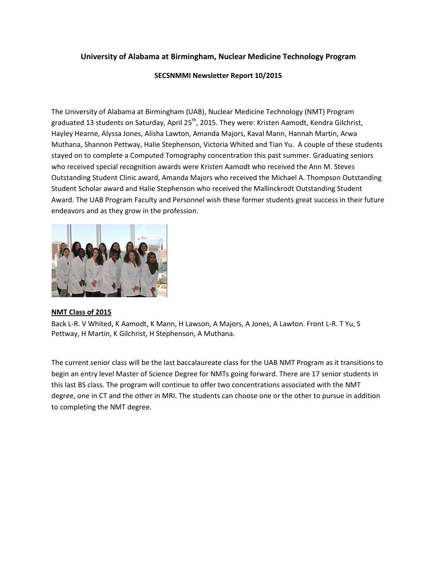## **University of Alabama at Birmingham, Nuclear Medicine Technology Program**

## **SECSNMMI Newsletter Report 10/2015**

The University of Alabama at Birmingham (UAB), Nuclear Medicine Technology (NMT) Program graduated 13 students on Saturday, April 25<sup>th</sup>, 2015. They were: Kristen Aamodt, Kendra Gilchrist, Hayley Hearne, Alyssa Jones, Alisha Lawton, Amanda Majors, Kaval Mann, Hannah Martin, Arwa Muthana, Shannon Pettway, Halie Stephenson, Victoria Whited and Tian Yu. A couple of these students stayed on to complete a Computed Tomography concentration this past summer. Graduating seniors who received special recognition awards were Kristen Aamodt who received the Ann M. Steves Outstanding Student Clinic award, Amanda Majors who received the Michael A. Thompson Outstanding Student Scholar award and Halie Stephenson who received the Mallinckrodt Outstanding Student Award. The UAB Program Faculty and Personnel wish these former students great success in their future endeavors and as they grow in the profession.



## **NMT Class of 2015**

Back L-R. V Whited, K Aamodt, K Mann, H Lawson, A Majors, A Jones, A Lawton. Front L-R. T Yu, S Pettway, H Martin, K Gilchrist, H Stephenson, A Muthana.

The current senior class will be the last baccalaureate class for the UAB NMT Program as it transitions to begin an entry level Master of Science Degree for NMTs going forward. There are 17 senior students in this last BS class. The program will continue to offer two concentrations associated with the NMT degree, one in CT and the other in MRI. The students can choose one or the other to pursue in addition to completing the NMT degree.